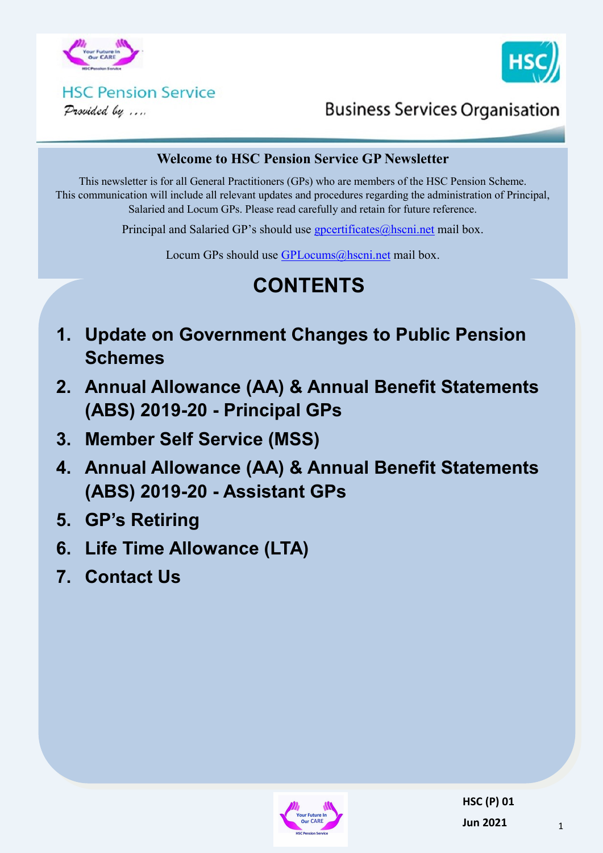



#### **HSC Pension Service** Provided by ....

**Business Services Organisation** 

#### **Welcome to HSC Pension Service GP Newsletter**

This newsletter is for all General Practitioners (GPs) who are members of the HSC Pension Scheme. This communication will include all relevant updates and procedures regarding the administration of Principal, Salaried and Locum GPs. Please read carefully and retain for future reference.

Principal and Salaried GP's should use [gpcertificates@hscni.net](mailto:gpcertificates@hscni.net) mail box.

Locum GPs should use [GPLocums@hscni.net](mailto:GPLocums@hscni.net) mail box.

# **CONTENTS**

- **1. Update on Government Changes to Public Pension Schemes**
- **2. Annual Allowance (AA) & Annual Benefit Statements (ABS) 2019-20 - Principal GPs**
- **3. Member Self Service (MSS)**
- **4. Annual Allowance (AA) & Annual Benefit Statements (ABS) 2019-20 - Assistant GPs**
- **5. GP's Retiring**
- **6. Life Time Allowance (LTA)**
- **7. Contact Us**

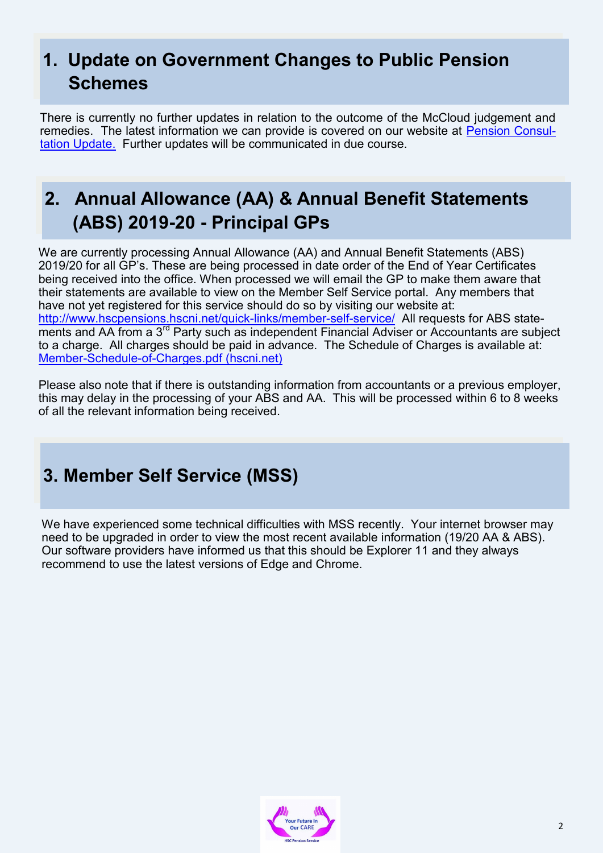## **1. Update on Government Changes to Public Pension Schemes**

There is currently no further updates in relation to the outcome of the McCloud judgement and remedies. The latest information we can provide is covered on our website at [Pension Consul](http://www.hscpensions.hscni.net/wp-content/uploads/2021/03/Pension-Consultation-Update.pdf)[tation Update.](http://www.hscpensions.hscni.net/wp-content/uploads/2021/03/Pension-Consultation-Update.pdf) Further updates will be communicated in due course.

#### **2. Annual Allowance (AA) & Annual Benefit Statements (ABS) 2019-20 - Principal GPs**

We are currently processing Annual Allowance (AA) and Annual Benefit Statements (ABS) 2019/20 for all GP's. These are being processed in date order of the End of Year Certificates being received into the office. When processed we will email the GP to make them aware that their statements are available to view on the Member Self Service portal. Any members that have not yet registered for this service should do so by visiting our website at: [http://www.hscpensions.hscni.net/quick](http://www.hscpensions.hscni.net/quick-links/member-self-service/)-links/member-self-service/ All requests for ABS statements and AA from a 3<sup>rd</sup> Party such as independent Financial Adviser or Accountants are subject to a charge. All charges should be paid in advance. The Schedule of Charges is available at: Member-Schedule-of-[Charges.pdf \(hscni.net\)](http://www.hscpensions.hscni.net/download/Members/member_factsheets/Member-Schedule-of-Charges.pdf)

Please also note that if there is outstanding information from accountants or a previous employer, this may delay in the processing of your ABS and AA. This will be processed within 6 to 8 weeks of all the relevant information being received.

#### **3. Member Self Service (MSS)**

We have experienced some technical difficulties with MSS recently. Your internet browser may need to be upgraded in order to view the most recent available information (19/20 AA & ABS). Our software providers have informed us that this should be Explorer 11 and they always recommend to use the latest versions of Edge and Chrome.

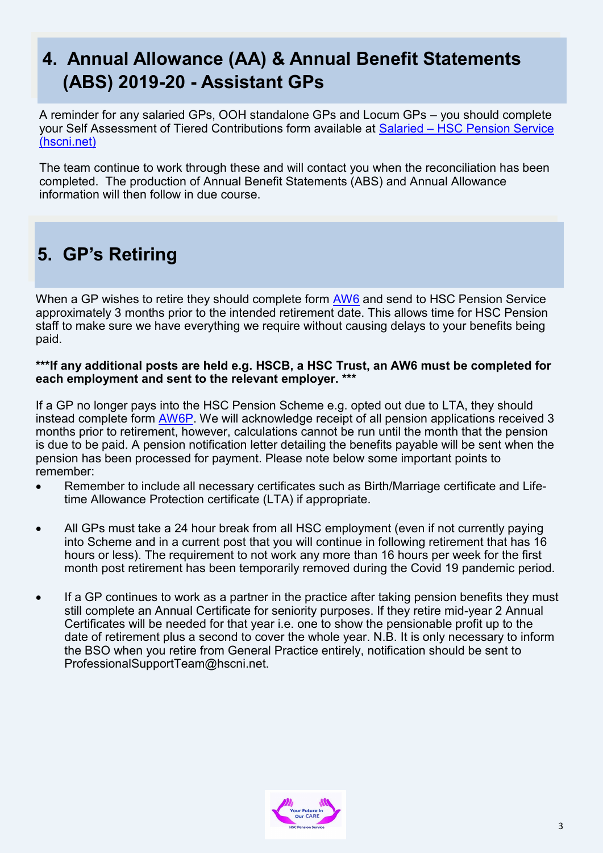#### **4. Annual Allowance (AA) & Annual Benefit Statements (ABS) 2019-20 - Assistant GPs**

A reminder for any salaried GPs, OOH standalone GPs and Locum GPs – you should complete your Self Assessment of Tiered Contributions form available at Salaried – [HSC Pension Service](http://www.hscpensions.hscni.net/hscpensions/practitioners/salaried-3/)  [\(hscni.net\)](http://www.hscpensions.hscni.net/hscpensions/practitioners/salaried-3/)

The team continue to work through these and will contact you when the reconciliation has been completed. The production of Annual Benefit Statements (ABS) and Annual Allowance information will then follow in due course.

### **5. GP's Retiring**

When a GP wishes to retire they should complete form [AW6](http://www.hscpensions.hscni.net/download/Scheme%20Forms/member_forms/AW6-Final-Online-Form.pdf) and send to HSC Pension Service approximately 3 months prior to the intended retirement date. This allows time for HSC Pension staff to make sure we have everything we require without causing delays to your benefits being paid.

#### **\*\*\*If any additional posts are held e.g. HSCB, a HSC Trust, an AW6 must be completed for each employment and sent to the relevant employer. \*\*\***

If a GP no longer pays into the HSC Pension Scheme e.g. opted out due to LTA, they should instead complete form [AW6P.](http://www.hscpensions.hscni.net/wp-content/uploads/2021/02/AW6p-1.pdf) We will acknowledge receipt of all pension applications received 3 months prior to retirement, however, calculations cannot be run until the month that the pension is due to be paid. A pension notification letter detailing the benefits payable will be sent when the pension has been processed for payment. Please note below some important points to remember:

- Remember to include all necessary certificates such as Birth/Marriage certificate and Lifetime Allowance Protection certificate (LTA) if appropriate.
- All GPs must take a 24 hour break from all HSC employment (even if not currently paying into Scheme and in a current post that you will continue in following retirement that has 16 hours or less). The requirement to not work any more than 16 hours per week for the first month post retirement has been temporarily removed during the Covid 19 pandemic period.
- If a GP continues to work as a partner in the practice after taking pension benefits they must still complete an Annual Certificate for seniority purposes. If they retire mid-year 2 Annual Certificates will be needed for that year i.e. one to show the pensionable profit up to the date of retirement plus a second to cover the whole year. N.B. It is only necessary to inform the BSO when you retire from General Practice entirely, notification should be sent to ProfessionalSupportTeam@hscni.net.

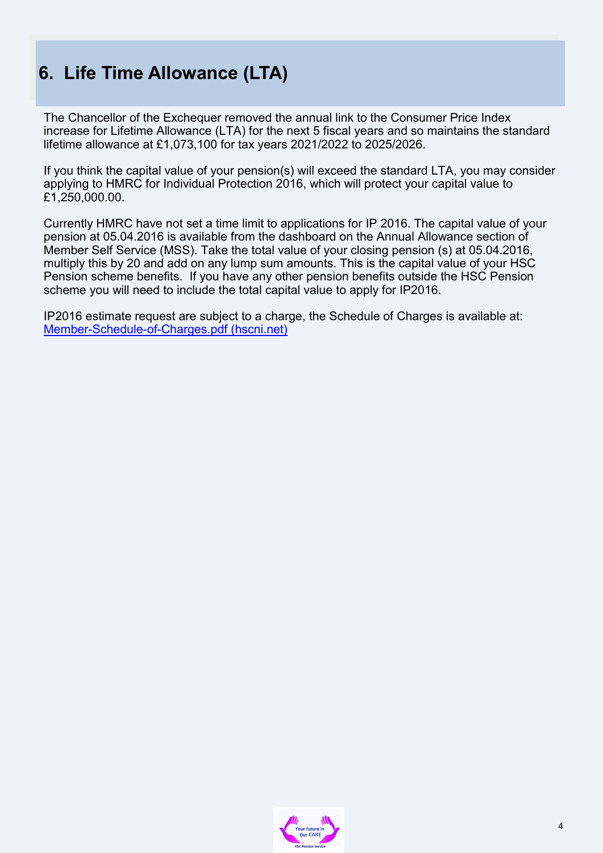## **6. Life Time Allowance (LTA)**

The Chancellor of the Exchequer removed the annual link to the Consumer Price Index increase for Lifetime Allowance (LTA) for the next 5 fiscal years and so maintains the standard lifetime allowance at £1,073,100 for tax years 2021/2022 to 2025/2026.

If you think the capital value of your pension(s) will exceed the standard LTA, you may consider applying to HMRC for Individual Protection 2016, which will protect your capital value to £1,250,000.00.

Currently HMRC have not set a time limit to applications for IP 2016. The capital value of your pension at 05.04.2016 is available from the dashboard on the Annual Allowance section of Member Self Service (MSS). Take the total value of your closing pension (s) at 05.04.2016, multiply this by 20 and add on any lump sum amounts. This is the capital value of your HSC Pension scheme benefits. If you have any other pension benefits outside the HSC Pension scheme you will need to include the total capital value to apply for IP2016.

IP2016 estimate request are subject to a charge, the Schedule of Charges is available at: Member-Schedule-of-[Charges.pdf \(hscni.net\)](http://www.hscpensions.hscni.net/download/Members/member_factsheets/Member-Schedule-of-Charges.pdf)